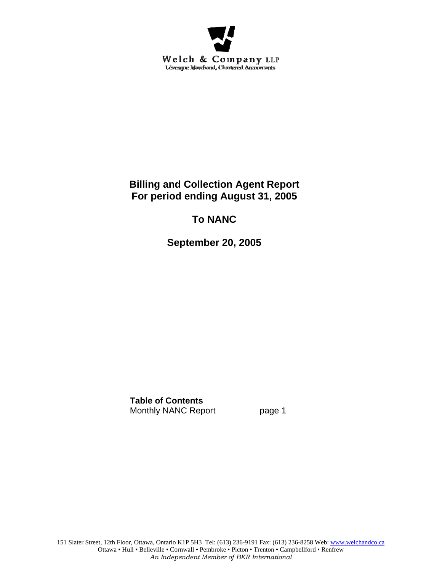

# **Billing and Collection Agent Report For period ending August 31, 2005**

# **To NANC**

**September 20, 2005** 

**Table of Contents** Monthly NANC Report page 1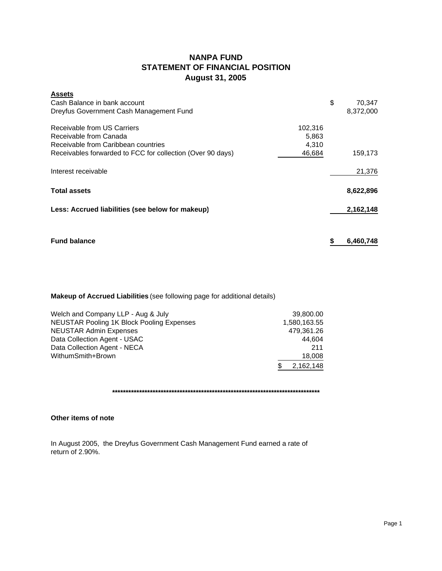# **NANPA FUND STATEMENT OF FINANCIAL POSITION August 31, 2005**

| <b>Assets</b>                                              |         |           |
|------------------------------------------------------------|---------|-----------|
| Cash Balance in bank account                               | \$      | 70,347    |
| Dreyfus Government Cash Management Fund                    |         | 8,372,000 |
| Receivable from US Carriers                                | 102,316 |           |
| Receivable from Canada                                     | 5,863   |           |
| Receivable from Caribbean countries                        | 4,310   |           |
| Receivables forwarded to FCC for collection (Over 90 days) | 46,684  | 159,173   |
| Interest receivable                                        |         | 21,376    |
| <b>Total assets</b>                                        |         | 8,622,896 |
| Less: Accrued liabilities (see below for makeup)           |         | 2,162,148 |
| <b>Fund balance</b>                                        | \$      | 6,460,748 |
|                                                            |         |           |

## **Makeup of Accrued Liabilities** (see following page for additional details)

| Welch and Company LLP - Aug & July               | 39.800.00    |
|--------------------------------------------------|--------------|
| <b>NEUSTAR Pooling 1K Block Pooling Expenses</b> | 1,580,163.55 |
| <b>NEUSTAR Admin Expenses</b>                    | 479,361.26   |
| Data Collection Agent - USAC                     | 44.604       |
| Data Collection Agent - NECA                     | 211          |
| WithumSmith+Brown                                | 18,008       |
|                                                  | 2,162,148    |
|                                                  |              |

**\*\*\*\*\*\*\*\*\*\*\*\*\*\*\*\*\*\*\*\*\*\*\*\*\*\*\*\*\*\*\*\*\*\*\*\*\*\*\*\*\*\*\*\*\*\*\*\*\*\*\*\*\*\*\*\*\*\*\*\*\*\*\*\*\*\*\*\*\*\*\*\*\*\*\*\*\***

## **Other items of note**

In August 2005, the Dreyfus Government Cash Management Fund earned a rate of return of 2.90%.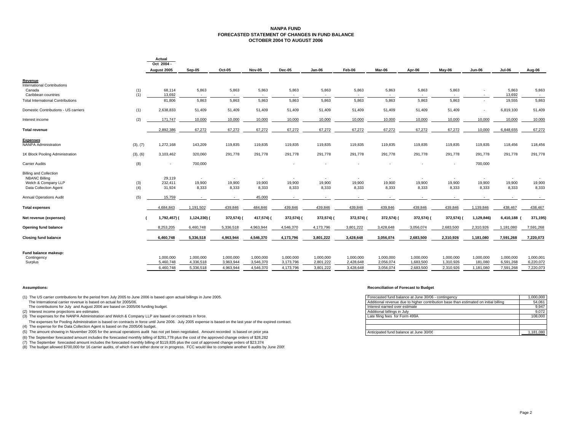#### **NANPA FUND FORECASTED STATEMENT OF CHANGES IN FUND BALANCEOCTOBER 2004 TO AUGUST 2006**

|                                          |          | Actual<br>Oct 2004 - |              |            |            |               |            |            |            |            |           |                          |             |                          |
|------------------------------------------|----------|----------------------|--------------|------------|------------|---------------|------------|------------|------------|------------|-----------|--------------------------|-------------|--------------------------|
|                                          |          | August 2005          | Sep-05       | Oct-05     | Nov-05     | <b>Dec-05</b> | $Jan-06$   | Feb-06     | Mar-06     | Apr-06     | May-06    | Jun-06                   | Jul-06      | Aug-06                   |
| Revenue                                  |          |                      |              |            |            |               |            |            |            |            |           |                          |             |                          |
| <b>International Contributions</b>       |          |                      |              |            |            |               |            |            |            |            |           |                          |             |                          |
| Canada                                   | (1)      | 68,114               | 5,863        | 5,863      | 5,863      | 5,863         | 5,863      | 5,863      | 5,863      | 5,863      | 5,863     | $\overline{\phantom{a}}$ | 5,863       | 5,863                    |
| Caribbean countries                      | (1)      | 13,692               | $\sim$       | $\sim$     | $\sim$     |               | $\sim$     |            |            | $\sim$     |           |                          | 13,692      | $\overline{\phantom{a}}$ |
| <b>Total International Contributions</b> |          | 81,806               | 5,863        | 5,863      | 5,863      | 5,863         | 5,863      | 5,863      | 5,863      | 5,863      | 5,863     | $\sim$                   | 19,555      | 5,863                    |
| Domestic Contributions - US carriers     | (1)      | 2,638,833            | 51,409       | 51,409     | 51,409     | 51,409        | 51,409     | 51,409     | 51,409     | 51,409     | 51,409    |                          | 6,819,100   | 51,409                   |
| Interest income                          | (2)      | 171,747              | 10,000       | 10,000     | 10,000     | 10,000        | 10,000     | 10,000     | 10,000     | 10,000     | 10,000    | 10,000                   | 10,000      | 10,000                   |
| <b>Total revenue</b>                     |          | 2,892,386            | 67,272       | 67,272     | 67,272     | 67,272        | 67,272     | 67,272     | 67,272     | 67,272     | 67,272    | 10,000                   | 6,848,655   | 67,272                   |
| <b>Expenses</b>                          |          |                      |              |            |            |               |            |            |            |            |           |                          |             |                          |
| <b>NANPA Administration</b>              | (3), (7) | 1,272,168            | 143,209      | 119,835    | 119,835    | 119,835       | 119,835    | 119,835    | 119,835    | 119,835    | 119,835   | 119,835                  | 118,456     | 118,456                  |
| 1K Block Pooling Administration          | (3), (6) | 3,103,462            | 320,060      | 291,778    | 291,778    | 291,778       | 291,778    | 291,778    | 291,778    | 291,778    | 291,778   | 291,778                  | 291,778     | 291,778                  |
| <b>Carrier Audits</b>                    | (8)      | ٠                    | 700,000      |            |            |               |            |            |            |            |           | 700,000                  |             |                          |
| <b>Billing and Collection</b>            |          |                      |              |            |            |               |            |            |            |            |           |                          |             |                          |
| <b>NBANC Billing</b>                     |          | 29,119               | $\sim$       | $\sim$     | $\sim$     | $\mathbf{r}$  | $\sim$     | $\sim$     | $\sim$     | $\sim$     | $\sim$    | $\sim$                   | $\sim$      |                          |
| Welch & Company LLP                      | (3)      | 232,411              | 19,900       | 19,900     | 19,900     | 19,900        | 19,900     | 19,900     | 19,900     | 19,900     | 19,900    | 19,900                   | 19,900      | 19,900                   |
| Data Collection Agent                    | (4)      | 31,924               | 8,333        | 8,333      | 8,333      | 8,333         | 8,333      | 8,333      | 8,333      | 8,333      | 8,333     | 8,333                    | 8,333       | 8,333                    |
| <b>Annual Operations Audit</b>           | (5)      | 15,759               |              | $\sim$     | 45,000     |               |            |            |            |            |           |                          |             |                          |
| <b>Total expenses</b>                    |          | 4,684,843            | 1,191,502    | 439,846    | 484,846    | 439,846       | 439,846    | 439,846    | 439,846    | 439,846    | 439,846   | 1,139,846                | 438,467     | 438,467                  |
| Net revenue (expenses)                   |          | 1,792,457) (         | 1,124,230) ( | 372,574) ( | 417,574) ( | 372,574) (    | 372,574) ( | 372,574) ( | 372,574) ( | 372,574) ( | 372,574)  | 1,129,846)               | 6,410,188 ( | 371,195)                 |
| Opening fund balance                     |          | 8,253,205            | 6,460,748    | 5,336,518  | 4,963,944  | 4,546,370     | 4,173,796  | 3,801,222  | 3,428,648  | 3,056,074  | 2,683,500 | 2,310,926                | 1,181,080   | 7,591,268                |
| <b>Closing fund balance</b>              |          | 6,460,748            | 5,336,518    | 4,963,944  | 4,546,370  | 4,173,796     | 3,801,222  | 3,428,648  | 3,056,074  | 2,683,500  | 2,310,926 | 1,181,080                | 7,591,268   | 7,220,073                |
|                                          |          |                      |              |            |            |               |            |            |            |            |           |                          |             |                          |
| Fund balance makeup:                     |          |                      |              |            |            |               |            |            |            |            |           |                          |             |                          |
| Contingency                              |          | 1.000.000            | 1,000,000    | 1,000,000  | 1,000,000  | 1,000,000     | 1,000,000  | 1,000,000  | 1,000,000  | 1,000,000  | 1,000,000 | 1,000,000                | 1,000,000   | 1,000,001                |
| Surplus                                  |          | 5,460,748            | 4,336,518    | 3,963,944  | 3,546,370  | 3,173,796     | 2,801,222  | 2,428,648  | 2,056,074  | 1,683,500  | 1,310,926 | 181,080                  | 6,591,268   | 6,220,072                |
|                                          |          | 6.460.748            | 5,336,518    | 4.963.944  | 4,546,370  | 4,173,796     | 3,801,222  | 3.428.648  | 3,056,074  | 2.683.500  | 2,310,926 | 1,181,080                | 7,591,268   | 7,220,073                |

(1) The US carrier contributions for the period from July 2005 to June 2006 is based upon actual billings in June 2005. The International carrier revenue is based on actual for 2005/06.

The contributions for July and August 2006 are based on 2005/06 funding budget.

 $(2)$  Interest income projections are estimates

(3) The expenses for the NANPA Administration and Welch & Company LLP are based on contracts in force.

The expenses for Pooling Administration is based on contracts in force until June 2006. July 2005 expense is based on the last year of the expired contract. (4) The expense for the Data Collection Agent is based on the 2005/06 budget.

(5) The amount showing in November 2005 for the annual operations audit has not yet been negotiated. Amount recorded is based on prior yea

(6) The September forecasted amount includes the forecasted monthly billing of \$291,778 plus the cost of the approved change orders of \$28,282

(7) The September forecasted amount includes the forecasted monthly billing of \$119,835 plus the cost of approved change orders of \$23,374

(8) The budget allowed \$700,000 for 16 carrier audits, of which 6 are either done or in progress. FCC would like to complete another 6 audits by June 2005

#### **Assumptions: Reconciliation of Forecast to Budget**

| ne 2006 is based upon actual billings in June 2005.                                           | Forecasted fund balance at June 30/06 - contingency                                  | 1.000.000 |
|-----------------------------------------------------------------------------------------------|--------------------------------------------------------------------------------------|-----------|
|                                                                                               | Additional revenue due to higher contribution base than estimated on initial billing | 54.061    |
| 06 funding budget.                                                                            | Interest earned over estimate                                                        | 9.947     |
|                                                                                               | Additional billings in July                                                          | 9.072     |
| pany LLP are based on contracts in force.                                                     | Late filing fees for Form 499A                                                       | 108,000   |
| n force until June 2006. July 2005 expense is based on the last year of the expired contract. |                                                                                      |           |
| 5/06 budget.                                                                                  |                                                                                      |           |
| ns audit has not yet been negotiated. Amount recorded is based on prior yea                   | Anticipated fund balance at June 30/06                                               | 1.181.080 |
|                                                                                               |                                                                                      |           |